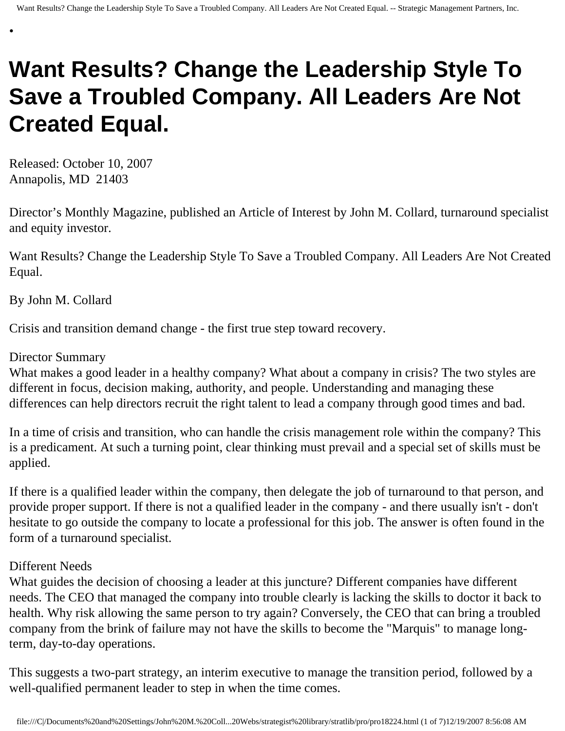# **Want Results? Change the Leadership Style To Save a Troubled Company. All Leaders Are Not Created Equal.**

Released: October 10, 2007 Annapolis, MD 21403

•

Director's Monthly Magazine, published an Article of Interest by John M. Collard, turnaround specialist and equity investor.

Want Results? Change the Leadership Style To Save a Troubled Company. All Leaders Are Not Created Equal.

By John M. Collard

Crisis and transition demand change - the first true step toward recovery.

## Director Summary

What makes a good leader in a healthy company? What about a company in crisis? The two styles are different in focus, decision making, authority, and people. Understanding and managing these differences can help directors recruit the right talent to lead a company through good times and bad.

In a time of crisis and transition, who can handle the crisis management role within the company? This is a predicament. At such a turning point, clear thinking must prevail and a special set of skills must be applied.

If there is a qualified leader within the company, then delegate the job of turnaround to that person, and provide proper support. If there is not a qualified leader in the company - and there usually isn't - don't hesitate to go outside the company to locate a professional for this job. The answer is often found in the form of a turnaround specialist.

## Different Needs

What guides the decision of choosing a leader at this juncture? Different companies have different needs. The CEO that managed the company into trouble clearly is lacking the skills to doctor it back to health. Why risk allowing the same person to try again? Conversely, the CEO that can bring a troubled company from the brink of failure may not have the skills to become the "Marquis" to manage longterm, day-to-day operations.

This suggests a two-part strategy, an interim executive to manage the transition period, followed by a well-qualified permanent leader to step in when the time comes.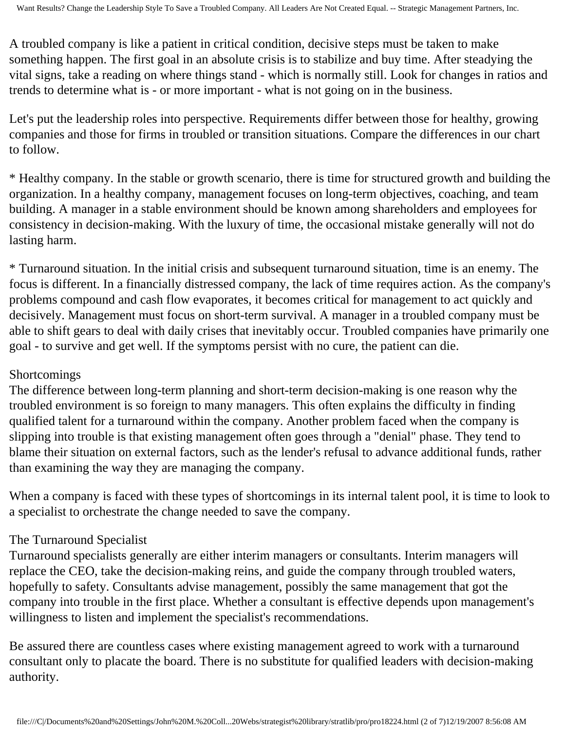A troubled company is like a patient in critical condition, decisive steps must be taken to make something happen. The first goal in an absolute crisis is to stabilize and buy time. After steadying the vital signs, take a reading on where things stand - which is normally still. Look for changes in ratios and trends to determine what is - or more important - what is not going on in the business.

Let's put the leadership roles into perspective. Requirements differ between those for healthy, growing companies and those for firms in troubled or transition situations. Compare the differences in our chart to follow.

\* Healthy company. In the stable or growth scenario, there is time for structured growth and building the organization. In a healthy company, management focuses on long-term objectives, coaching, and team building. A manager in a stable environment should be known among shareholders and employees for consistency in decision-making. With the luxury of time, the occasional mistake generally will not do lasting harm.

\* Turnaround situation. In the initial crisis and subsequent turnaround situation, time is an enemy. The focus is different. In a financially distressed company, the lack of time requires action. As the company's problems compound and cash flow evaporates, it becomes critical for management to act quickly and decisively. Management must focus on short-term survival. A manager in a troubled company must be able to shift gears to deal with daily crises that inevitably occur. Troubled companies have primarily one goal - to survive and get well. If the symptoms persist with no cure, the patient can die.

## Shortcomings

The difference between long-term planning and short-term decision-making is one reason why the troubled environment is so foreign to many managers. This often explains the difficulty in finding qualified talent for a turnaround within the company. Another problem faced when the company is slipping into trouble is that existing management often goes through a "denial" phase. They tend to blame their situation on external factors, such as the lender's refusal to advance additional funds, rather than examining the way they are managing the company.

When a company is faced with these types of shortcomings in its internal talent pool, it is time to look to a specialist to orchestrate the change needed to save the company.

# The Turnaround Specialist

Turnaround specialists generally are either interim managers or consultants. Interim managers will replace the CEO, take the decision-making reins, and guide the company through troubled waters, hopefully to safety. Consultants advise management, possibly the same management that got the company into trouble in the first place. Whether a consultant is effective depends upon management's willingness to listen and implement the specialist's recommendations.

Be assured there are countless cases where existing management agreed to work with a turnaround consultant only to placate the board. There is no substitute for qualified leaders with decision-making authority.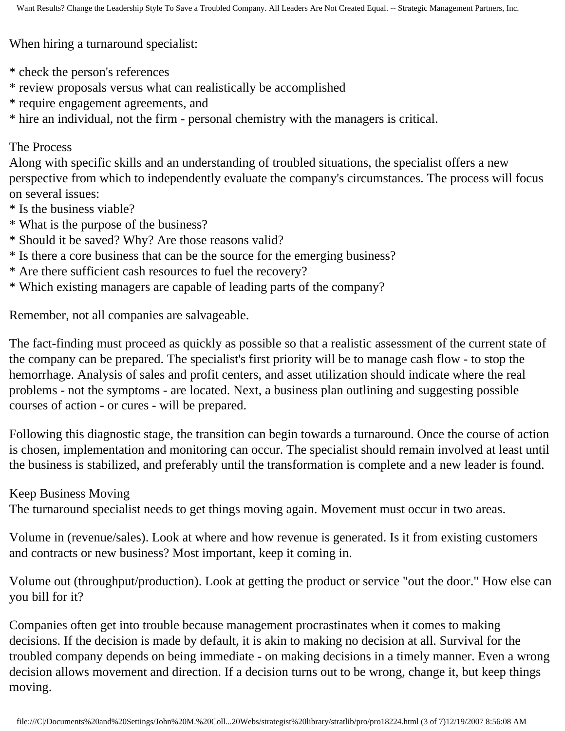When hiring a turnaround specialist:

- \* check the person's references
- \* review proposals versus what can realistically be accomplished
- \* require engagement agreements, and
- \* hire an individual, not the firm personal chemistry with the managers is critical.

## The Process

Along with specific skills and an understanding of troubled situations, the specialist offers a new perspective from which to independently evaluate the company's circumstances. The process will focus on several issues:

- \* Is the business viable?
- \* What is the purpose of the business?
- \* Should it be saved? Why? Are those reasons valid?
- \* Is there a core business that can be the source for the emerging business?
- \* Are there sufficient cash resources to fuel the recovery?
- \* Which existing managers are capable of leading parts of the company?

Remember, not all companies are salvageable.

The fact-finding must proceed as quickly as possible so that a realistic assessment of the current state of the company can be prepared. The specialist's first priority will be to manage cash flow - to stop the hemorrhage. Analysis of sales and profit centers, and asset utilization should indicate where the real problems - not the symptoms - are located. Next, a business plan outlining and suggesting possible courses of action - or cures - will be prepared.

Following this diagnostic stage, the transition can begin towards a turnaround. Once the course of action is chosen, implementation and monitoring can occur. The specialist should remain involved at least until the business is stabilized, and preferably until the transformation is complete and a new leader is found.

Keep Business Moving

The turnaround specialist needs to get things moving again. Movement must occur in two areas.

Volume in (revenue/sales). Look at where and how revenue is generated. Is it from existing customers and contracts or new business? Most important, keep it coming in.

Volume out (throughput/production). Look at getting the product or service "out the door." How else can you bill for it?

Companies often get into trouble because management procrastinates when it comes to making decisions. If the decision is made by default, it is akin to making no decision at all. Survival for the troubled company depends on being immediate - on making decisions in a timely manner. Even a wrong decision allows movement and direction. If a decision turns out to be wrong, change it, but keep things moving.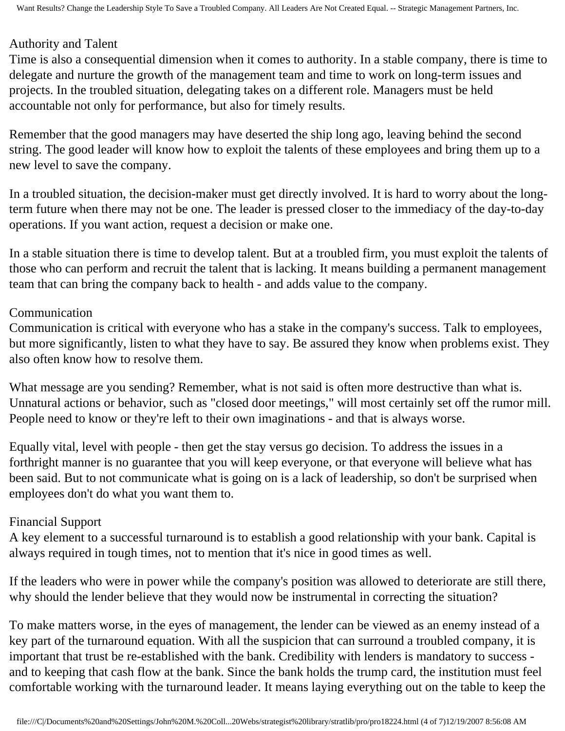## Authority and Talent

Time is also a consequential dimension when it comes to authority. In a stable company, there is time to delegate and nurture the growth of the management team and time to work on long-term issues and projects. In the troubled situation, delegating takes on a different role. Managers must be held accountable not only for performance, but also for timely results.

Remember that the good managers may have deserted the ship long ago, leaving behind the second string. The good leader will know how to exploit the talents of these employees and bring them up to a new level to save the company.

In a troubled situation, the decision-maker must get directly involved. It is hard to worry about the longterm future when there may not be one. The leader is pressed closer to the immediacy of the day-to-day operations. If you want action, request a decision or make one.

In a stable situation there is time to develop talent. But at a troubled firm, you must exploit the talents of those who can perform and recruit the talent that is lacking. It means building a permanent management team that can bring the company back to health - and adds value to the company.

## Communication

Communication is critical with everyone who has a stake in the company's success. Talk to employees, but more significantly, listen to what they have to say. Be assured they know when problems exist. They also often know how to resolve them.

What message are you sending? Remember, what is not said is often more destructive than what is. Unnatural actions or behavior, such as "closed door meetings," will most certainly set off the rumor mill. People need to know or they're left to their own imaginations - and that is always worse.

Equally vital, level with people - then get the stay versus go decision. To address the issues in a forthright manner is no guarantee that you will keep everyone, or that everyone will believe what has been said. But to not communicate what is going on is a lack of leadership, so don't be surprised when employees don't do what you want them to.

## Financial Support

A key element to a successful turnaround is to establish a good relationship with your bank. Capital is always required in tough times, not to mention that it's nice in good times as well.

If the leaders who were in power while the company's position was allowed to deteriorate are still there, why should the lender believe that they would now be instrumental in correcting the situation?

To make matters worse, in the eyes of management, the lender can be viewed as an enemy instead of a key part of the turnaround equation. With all the suspicion that can surround a troubled company, it is important that trust be re-established with the bank. Credibility with lenders is mandatory to success and to keeping that cash flow at the bank. Since the bank holds the trump card, the institution must feel comfortable working with the turnaround leader. It means laying everything out on the table to keep the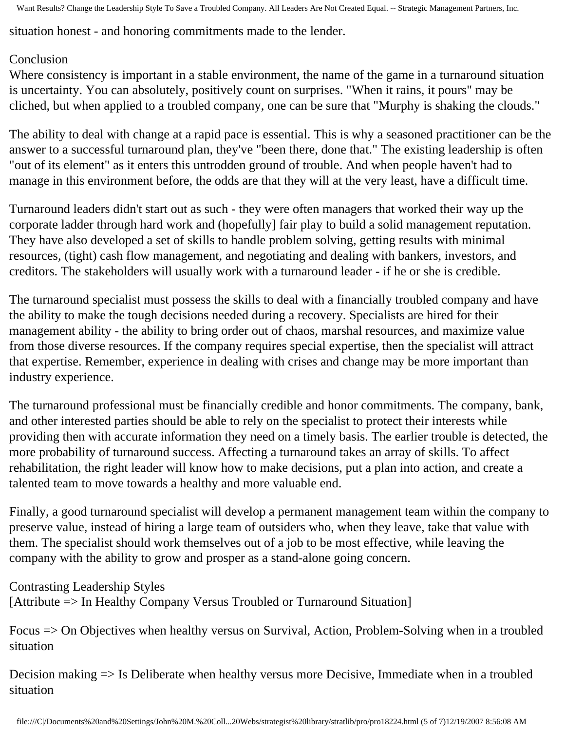Want Results? Change the Leadership Style To Save a Troubled Company. All Leaders Are Not Created Equal. -- Strategic Management Partners, Inc.

situation honest - and honoring commitments made to the lender.

## Conclusion

Where consistency is important in a stable environment, the name of the game in a turnaround situation is uncertainty. You can absolutely, positively count on surprises. "When it rains, it pours" may be cliched, but when applied to a troubled company, one can be sure that "Murphy is shaking the clouds."

The ability to deal with change at a rapid pace is essential. This is why a seasoned practitioner can be the answer to a successful turnaround plan, they've "been there, done that." The existing leadership is often "out of its element" as it enters this untrodden ground of trouble. And when people haven't had to manage in this environment before, the odds are that they will at the very least, have a difficult time.

Turnaround leaders didn't start out as such - they were often managers that worked their way up the corporate ladder through hard work and (hopefully] fair play to build a solid management reputation. They have also developed a set of skills to handle problem solving, getting results with minimal resources, (tight) cash flow management, and negotiating and dealing with bankers, investors, and creditors. The stakeholders will usually work with a turnaround leader - if he or she is credible.

The turnaround specialist must possess the skills to deal with a financially troubled company and have the ability to make the tough decisions needed during a recovery. Specialists are hired for their management ability - the ability to bring order out of chaos, marshal resources, and maximize value from those diverse resources. If the company requires special expertise, then the specialist will attract that expertise. Remember, experience in dealing with crises and change may be more important than industry experience.

The turnaround professional must be financially credible and honor commitments. The company, bank, and other interested parties should be able to rely on the specialist to protect their interests while providing then with accurate information they need on a timely basis. The earlier trouble is detected, the more probability of turnaround success. Affecting a turnaround takes an array of skills. To affect rehabilitation, the right leader will know how to make decisions, put a plan into action, and create a talented team to move towards a healthy and more valuable end.

Finally, a good turnaround specialist will develop a permanent management team within the company to preserve value, instead of hiring a large team of outsiders who, when they leave, take that value with them. The specialist should work themselves out of a job to be most effective, while leaving the company with the ability to grow and prosper as a stand-alone going concern.

Contrasting Leadership Styles

[Attribute => In Healthy Company Versus Troubled or Turnaround Situation]

Focus => On Objectives when healthy versus on Survival, Action, Problem-Solving when in a troubled situation

Decision making => Is Deliberate when healthy versus more Decisive, Immediate when in a troubled situation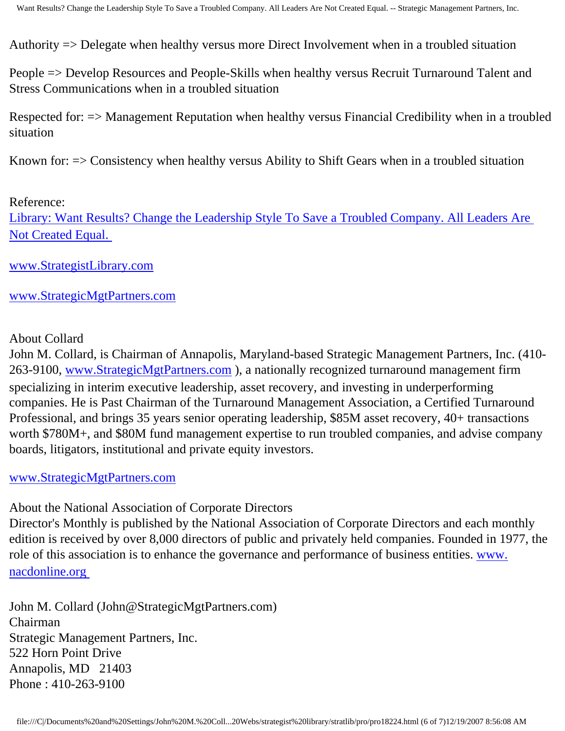Authority => Delegate when healthy versus more Direct Involvement when in a troubled situation

People => Develop Resources and People-Skills when healthy versus Recruit Turnaround Talent and Stress Communications when in a troubled situation

Respected for: => Management Reputation when healthy versus Financial Credibility when in a troubled situation

Known for: => Consistency when healthy versus Ability to Shift Gears when in a troubled situation

#### Reference:

[Library: Want Results? Change the Leadership Style To Save a Troubled Company. All Leaders Are](http://members.aol.com/stratlib/dml.html)  [Not Created Equal.](http://members.aol.com/stratlib/dml.html) 

[www.StrategistLibrary.com](http://www.strategistlibrary.com/)

#### [www.StrategicMgtPartners.com](http://www.strategicmgtpartners.com/)

#### About Collard

John M. Collard, is Chairman of Annapolis, Maryland-based Strategic Management Partners, Inc. (410- 263-9100, [www.StrategicMgtPartners.com](http://www.strategicmgtpartners.com/) ), a nationally recognized turnaround management firm specializing in interim executive leadership, asset recovery, and investing in underperforming companies. He is Past Chairman of the Turnaround Management Association, a Certified Turnaround Professional, and brings 35 years senior operating leadership, \$85M asset recovery, 40+ transactions worth \$780M+, and \$80M fund management expertise to run troubled companies, and advise company boards, litigators, institutional and private equity investors.

#### [www.StrategicMgtPartners.com](http://www.strategicmgtpartners.com/)

About the National Association of Corporate Directors

Director's Monthly is published by the National Association of Corporate Directors and each monthly edition is received by over 8,000 directors of public and privately held companies. Founded in 1977, the role of this association is to enhance the governance and performance of business entities. [www.](http://www.nacdonline.org/) [nacdonline.org](http://www.nacdonline.org/) 

John M. Collard (John@StrategicMgtPartners.com) Chairman Strategic Management Partners, Inc. 522 Horn Point Drive Annapolis, MD 21403 Phone : 410-263-9100